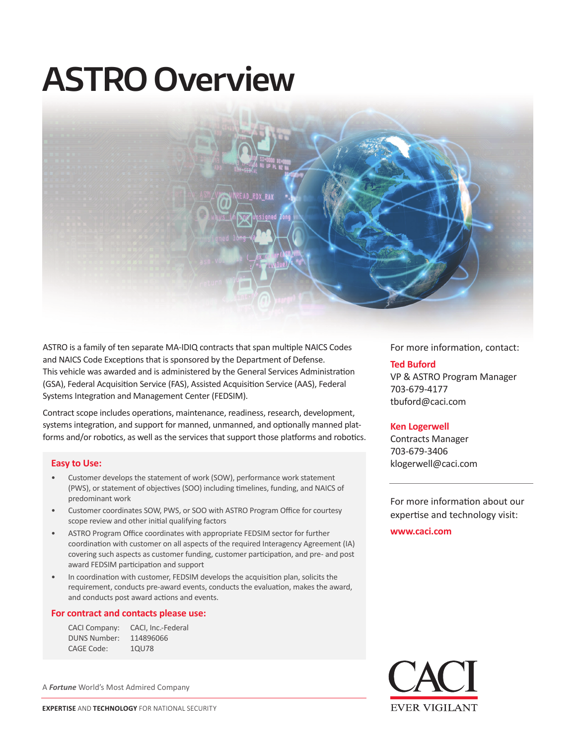# **ASTRO Overview**



ASTRO is a family of ten separate MA-IDIQ contracts that span multiple NAICS Codes and NAICS Code Exceptions that is sponsored by the Department of Defense. This vehicle was awarded and is administered by the General Services Administration (GSA), Federal Acquisition Service (FAS), Assisted Acquisition Service (AAS), Federal Systems Integration and Management Center (FEDSIM).

Contract scope includes operations, maintenance, readiness, research, development, systems integration, and support for manned, unmanned, and optionally manned platforms and/or robotics, as well as the services that support those platforms and robotics.

#### **Easy to Use:**

- Customer develops the statement of work (SOW), performance work statement (PWS), or statement of objectives (SOO) including timelines, funding, and NAICS of predominant work
- Customer coordinates SOW, PWS, or SOO with ASTRO Program Office for courtesy scope review and other initial qualifying factors
- ASTRO Program Office coordinates with appropriate FEDSIM sector for further coordination with customer on all aspects of the required Interagency Agreement (IA) covering such aspects as customer funding, customer participation, and pre- and post award FEDSIM participation and support
- In coordination with customer, FEDSIM develops the acquisition plan, solicits the requirement, conducts pre-award events, conducts the evaluation, makes the award, and conducts post award actions and events.

#### **For contract and contacts please use:**

| <b>CACI Company:</b> | CACI, Inc.-Federal |
|----------------------|--------------------|
| <b>DUNS Number:</b>  | 114896066          |
| CAGE Code:           | 10U78              |

A *Fortune* World's Most Admired Company



For more information, contact:

#### **Ted Buford**

VP & ASTRO Program Manager 703-679-4177 tbuford@caci.com

#### **Ken Logerwell**

Contracts Manager 703-679-3406 klogerwell@caci.com

For more information about our expertise and technology visit:

**www.caci.com**